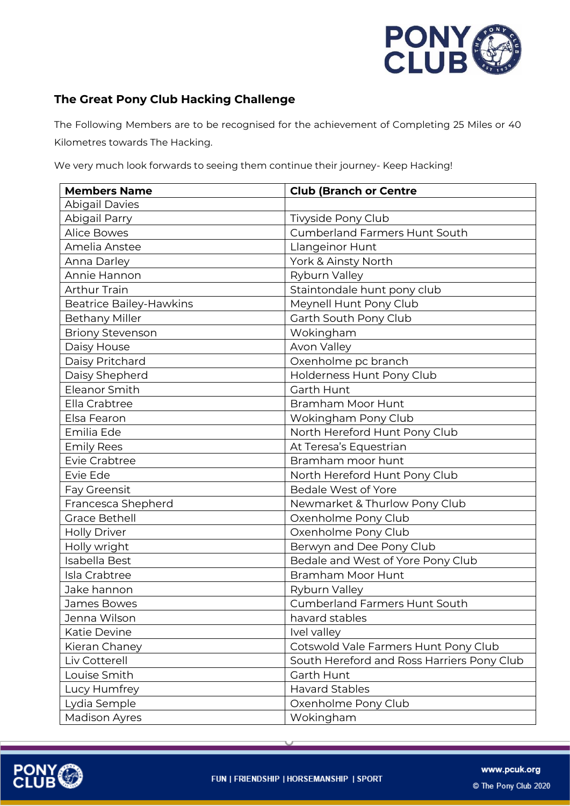

## **The Great Pony Club Hacking Challenge**

The Following Members are to be recognised for the achievement of Completing 25 Miles or 40 Kilometres towards The Hacking.

We very much look forwards to seeing them continue their journey- Keep Hacking!

| <b>Members Name</b>            | <b>Club (Branch or Centre</b>              |
|--------------------------------|--------------------------------------------|
| <b>Abigail Davies</b>          |                                            |
| Abigail Parry                  | Tivyside Pony Club                         |
| <b>Alice Bowes</b>             | <b>Cumberland Farmers Hunt South</b>       |
| Amelia Anstee                  | Llangeinor Hunt                            |
| Anna Darley                    | York & Ainsty North                        |
| Annie Hannon                   | Ryburn Valley                              |
| <b>Arthur Train</b>            | Staintondale hunt pony club                |
| <b>Beatrice Bailey-Hawkins</b> | Meynell Hunt Pony Club                     |
| <b>Bethany Miller</b>          | Garth South Pony Club                      |
| <b>Briony Stevenson</b>        | Wokingham                                  |
| Daisy House                    | Avon Valley                                |
| Daisy Pritchard                | Oxenholme pc branch                        |
| Daisy Shepherd                 | Holderness Hunt Pony Club                  |
| Eleanor Smith                  | Garth Hunt                                 |
| Ella Crabtree                  | <b>Bramham Moor Hunt</b>                   |
| Elsa Fearon                    | Wokingham Pony Club                        |
| Emilia Ede                     | North Hereford Hunt Pony Club              |
| <b>Emily Rees</b>              | At Teresa's Equestrian                     |
| Evie Crabtree                  | Bramham moor hunt                          |
| Evie Ede                       | North Hereford Hunt Pony Club              |
| Fay Greensit                   | Bedale West of Yore                        |
| Francesca Shepherd             | Newmarket & Thurlow Pony Club              |
| <b>Grace Bethell</b>           | Oxenholme Pony Club                        |
| <b>Holly Driver</b>            | Oxenholme Pony Club                        |
| Holly wright                   | Berwyn and Dee Pony Club                   |
| Isabella Best                  | Bedale and West of Yore Pony Club          |
| Isla Crabtree                  | <b>Bramham Moor Hunt</b>                   |
| Jake hannon                    | Ryburn Valley                              |
| James Bowes                    | Cumberland Farmers Hunt South              |
| Jenna Wilson                   | havard stables                             |
| Katie Devine                   | Ivel valley                                |
| Kieran Chaney                  | Cotswold Vale Farmers Hunt Pony Club       |
| Liv Cotterell                  | South Hereford and Ross Harriers Pony Club |
| Louise Smith                   | Garth Hunt                                 |
| Lucy Humfrey                   | <b>Havard Stables</b>                      |
| Lydia Semple                   | Oxenholme Pony Club                        |
| <b>Madison Ayres</b>           | Wokingham                                  |